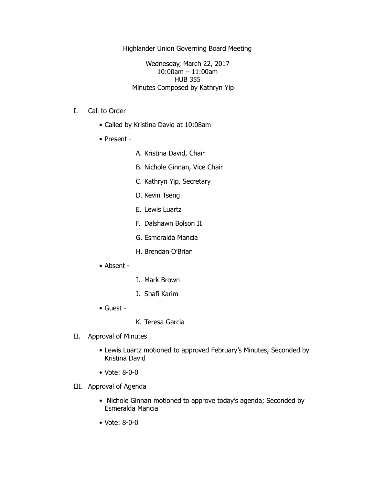Highlander Union Governing Board Meeting

Wednesday, March 22, 2017 10:00am – 11:00am HUB 355 Minutes Composed by Kathryn Yip

- I. Call to Order
	- Called by Kristina David at 10:08am
	- Present -
- A. Kristina David, Chair
- B. Nichole Ginnan, Vice Chair
- C. Kathryn Yip, Secretary
- D. Kevin Tseng
- E. Lewis Luartz
- F. Dalshawn Bolson II
- G. Esmeralda Mancia
- H. Brendan O'Brian
- Absent -
- I. Mark Brown
- J. Shafi Karim
- Guest -
- K. Teresa Garcia
- II. Approval of Minutes
	- Lewis Luartz motioned to approved February's Minutes; Seconded by Kristina David
	- Vote: 8-0-0
- III. Approval of Agenda
	- Nichole Ginnan motioned to approve today's agenda; Seconded by Esmeralda Mancia
	- Vote: 8-0-0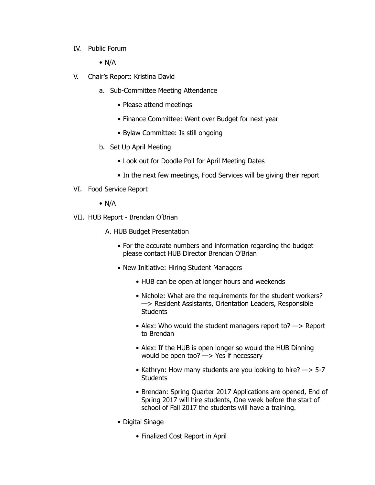- IV. Public Forum
	- $\bullet$  N/A
- V. Chair's Report: Kristina David
	- a. Sub-Committee Meeting Attendance
		- Please attend meetings
		- Finance Committee: Went over Budget for next year
		- Bylaw Committee: Is still ongoing
	- b. Set Up April Meeting
		- Look out for Doodle Poll for April Meeting Dates
		- In the next few meetings, Food Services will be giving their report
- VI. Food Service Report
	- $\bullet$  N/A
- VII. HUB Report Brendan O'Brian
	- A. HUB Budget Presentation
		- For the accurate numbers and information regarding the budget please contact HUB Director Brendan O'Brian
		- New Initiative: Hiring Student Managers
			- HUB can be open at longer hours and weekends
			- Nichole: What are the requirements for the student workers? —> Resident Assistants, Orientation Leaders, Responsible **Students**
			- Alex: Who would the student managers report to? -> Report to Brendan
			- Alex: If the HUB is open longer so would the HUB Dinning would be open too? —> Yes if necessary
			- Kathryn: How many students are you looking to hire? —> 5-7 **Students**
			- Brendan: Spring Quarter 2017 Applications are opened, End of Spring 2017 will hire students, One week before the start of school of Fall 2017 the students will have a training.
		- Digital Sinage
			- Finalized Cost Report in April